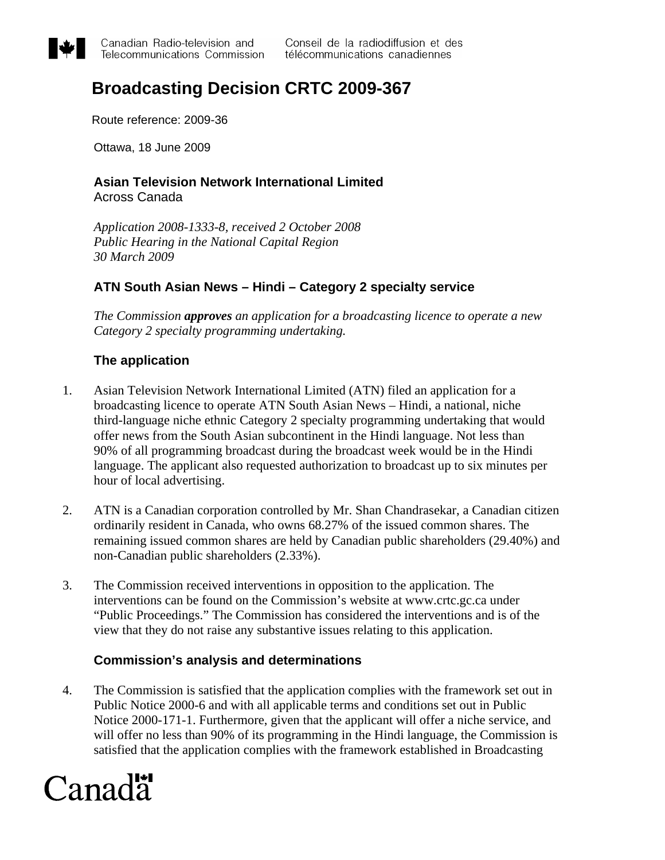

# **Broadcasting Decision CRTC 2009-367**

Route reference: 2009-36

Ottawa, 18 June 2009

#### **Asian Television Network International Limited** Across Canada

*Application 2008-1333-8, received 2 October 2008 Public Hearing in the National Capital Region 30 March 2009* 

## **ATN South Asian News – Hindi – Category 2 specialty service**

*The Commission approves an application for a broadcasting licence to operate a new Category 2 specialty programming undertaking.* 

## **The application**

- 1. Asian Television Network International Limited (ATN) filed an application for a broadcasting licence to operate ATN South Asian News – Hindi, a national, niche third-language niche ethnic Category 2 specialty programming undertaking that would offer news from the South Asian subcontinent in the Hindi language. Not less than 90% of all programming broadcast during the broadcast week would be in the Hindi language. The applicant also requested authorization to broadcast up to six minutes per hour of local advertising.
- 2. ATN is a Canadian corporation controlled by Mr. Shan Chandrasekar, a Canadian citizen ordinarily resident in Canada, who owns 68.27% of the issued common shares. The remaining issued common shares are held by Canadian public shareholders (29.40%) and non-Canadian public shareholders (2.33%).
- 3. The Commission received interventions in opposition to the application. The interventions can be found on the Commission's website at www.crtc.gc.ca under "Public Proceedings." The Commission has considered the interventions and is of the view that they do not raise any substantive issues relating to this application.

## **Commission's analysis and determinations**

4. The Commission is satisfied that the application complies with the framework set out in Public Notice 2000-6 and with all applicable terms and conditions set out in Public Notice 2000-171-1. Furthermore, given that the applicant will offer a niche service, and will offer no less than 90% of its programming in the Hindi language, the Commission is satisfied that the application complies with the framework established in Broadcasting

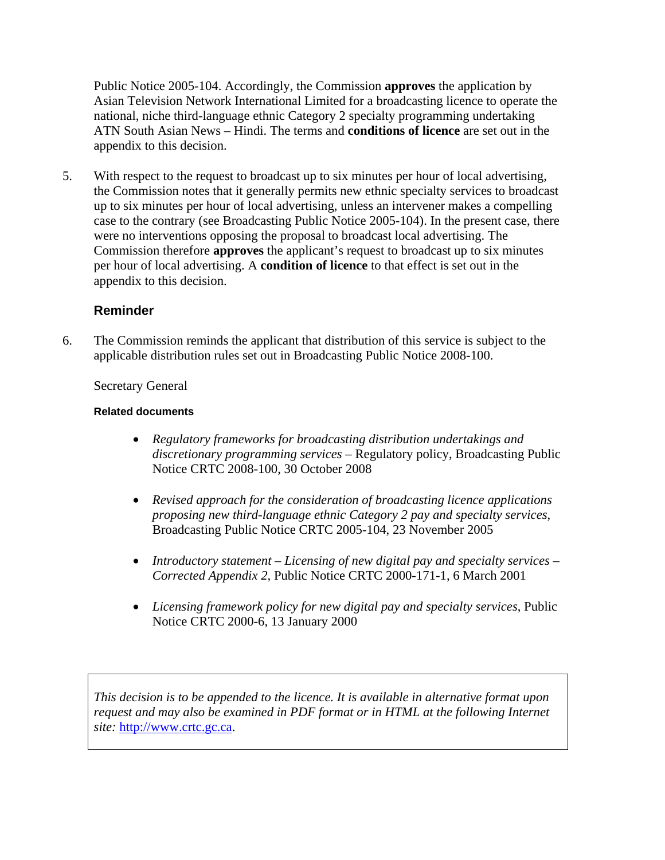Public Notice 2005-104. Accordingly, the Commission **approves** the application by Asian Television Network International Limited for a broadcasting licence to operate the national, niche third-language ethnic Category 2 specialty programming undertaking ATN South Asian News – Hindi. The terms and **conditions of licence** are set out in the appendix to this decision.

5. With respect to the request to broadcast up to six minutes per hour of local advertising, the Commission notes that it generally permits new ethnic specialty services to broadcast up to six minutes per hour of local advertising, unless an intervener makes a compelling case to the contrary (see Broadcasting Public Notice 2005-104). In the present case, there were no interventions opposing the proposal to broadcast local advertising. The Commission therefore **approves** the applicant's request to broadcast up to six minutes per hour of local advertising. A **condition of licence** to that effect is set out in the appendix to this decision.

## **Reminder**

6. The Commission reminds the applicant that distribution of this service is subject to the applicable distribution rules set out in Broadcasting Public Notice 2008-100.

## Secretary General

#### **Related documents**

- *Regulatory frameworks for broadcasting distribution undertakings and discretionary programming services* – Regulatory policy, Broadcasting Public Notice CRTC 2008-100, 30 October 2008
- *Revised approach for the consideration of broadcasting licence applications proposing new third-language ethnic Category 2 pay and specialty services*, Broadcasting Public Notice CRTC 2005-104, 23 November 2005
- *Introductory statement Licensing of new digital pay and specialty services Corrected Appendix 2*, Public Notice CRTC 2000-171-1, 6 March 2001
- *Licensing framework policy for new digital pay and specialty services*, Public Notice CRTC 2000-6, 13 January 2000

*This decision is to be appended to the licence. It is available in alternative format upon request and may also be examined in PDF format or in HTML at the following Internet site:* [http://www.crtc.gc.ca.](http://www.crtc.gc.ca/)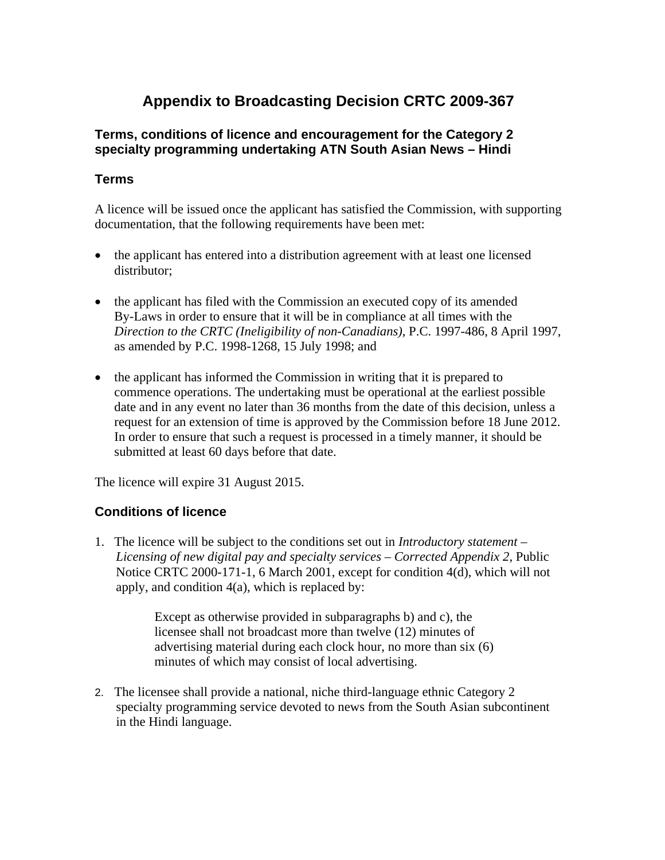## **Appendix to Broadcasting Decision CRTC 2009-367**

## **Terms, conditions of licence and encouragement for the Category 2 specialty programming undertaking ATN South Asian News – Hindi**

## **Terms**

A licence will be issued once the applicant has satisfied the Commission, with supporting documentation, that the following requirements have been met:

- the applicant has entered into a distribution agreement with at least one licensed distributor;
- the applicant has filed with the Commission an executed copy of its amended By-Laws in order to ensure that it will be in compliance at all times with the *Direction to the CRTC (Ineligibility of non-Canadians)*, P.C. 1997-486, 8 April 1997, as amended by P.C. 1998-1268, 15 July 1998; and
- the applicant has informed the Commission in writing that it is prepared to commence operations. The undertaking must be operational at the earliest possible date and in any event no later than 36 months from the date of this decision, unless a request for an extension of time is approved by the Commission before 18 June 2012. In order to ensure that such a request is processed in a timely manner, it should be submitted at least 60 days before that date.

The licence will expire 31 August 2015.

## **Conditions of licence**

1. The licence will be subject to the conditions set out in *Introductory statement – Licensing of new digital pay and specialty services – Corrected Appendix 2*, Public Notice CRTC 2000-171-1, 6 March 2001, except for condition 4(d), which will not apply, and condition 4(a), which is replaced by:

> Except as otherwise provided in subparagraphs b) and c), the licensee shall not broadcast more than twelve (12) minutes of advertising material during each clock hour, no more than six (6) minutes of which may consist of local advertising.

2. The licensee shall provide a national, niche third-language ethnic Category 2 specialty programming service devoted to news from the South Asian subcontinent in the Hindi language.